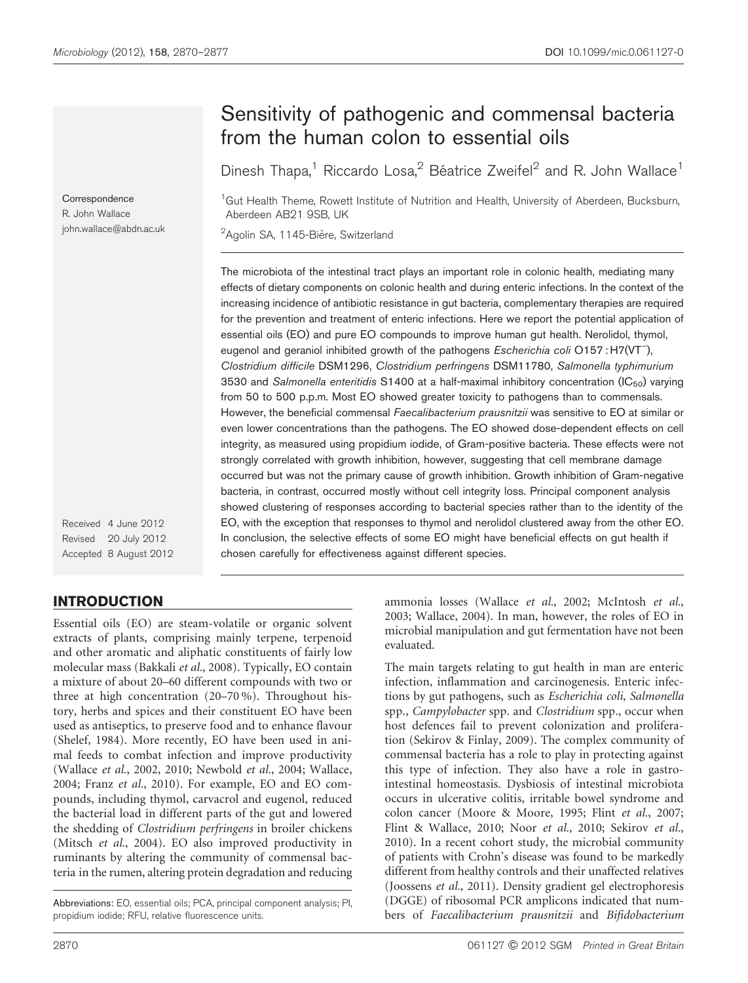Correspondence R. John Wallace john.wallace@abdn.ac.uk

# Sensitivity of pathogenic and commensal bacteria from the human colon to essential oils

Dinesh Thapa,<sup>1</sup> Riccardo Losa,<sup>2</sup> Béatrice Zweifel<sup>2</sup> and R. John Wallace<sup>1</sup>

<sup>1</sup>Gut Health Theme, Rowett Institute of Nutrition and Health, University of Aberdeen, Bucksburn, Aberdeen AB21 9SB, UK

<sup>2</sup>Agolin SA, 1145-Bière, Switzerland

The microbiota of the intestinal tract plays an important role in colonic health, mediating many effects of dietary components on colonic health and during enteric infections. In the context of the increasing incidence of antibiotic resistance in gut bacteria, complementary therapies are required for the prevention and treatment of enteric infections. Here we report the potential application of essential oils (EO) and pure EO compounds to improve human gut health. Nerolidol, thymol, eugenol and geraniol inhibited growth of the pathogens Escherichia coli O157: H7(VT<sup>-</sup>), Clostridium difficile DSM1296, Clostridium perfringens DSM11780, Salmonella typhimurium 3530 and Salmonella enteritidis S1400 at a half-maximal inhibitory concentration  $(\mathsf{IC}_{50})$  varying from 50 to 500 p.p.m. Most EO showed greater toxicity to pathogens than to commensals. However, the beneficial commensal Faecalibacterium prausnitzii was sensitive to EO at similar or even lower concentrations than the pathogens. The EO showed dose-dependent effects on cell integrity, as measured using propidium iodide, of Gram-positive bacteria. These effects were not strongly correlated with growth inhibition, however, suggesting that cell membrane damage occurred but was not the primary cause of growth inhibition. Growth inhibition of Gram-negative bacteria, in contrast, occurred mostly without cell integrity loss. Principal component analysis showed clustering of responses according to bacterial species rather than to the identity of the EO, with the exception that responses to thymol and nerolidol clustered away from the other EO. In conclusion, the selective effects of some EO might have beneficial effects on gut health if chosen carefully for effectiveness against different species.

Received 4 June 2012 Revised 20 July 2012 Accepted 8 August 2012

# INTRODUCTION

Essential oils (EO) are steam-volatile or organic solvent extracts of plants, comprising mainly terpene, terpenoid and other aromatic and aliphatic constituents of fairly low molecular mass ([Bakkali](#page-6-0) et al., 2008). Typically, EO contain a mixture of about 20–60 different compounds with two or three at high concentration (20–70 %). Throughout history, herbs and spices and their constituent EO have been used as antiseptics, to preserve food and to enhance flavour [\(Shelef, 1984](#page-7-0)). More recently, EO have been used in animal feeds to combat infection and improve productivity [\(Wallace](#page-7-0) et al., 2002, [2010; Newbold](#page-7-0) et al., 2004; [Wallace,](#page-7-0) [2004](#page-7-0); Franz et al.[, 2010\)](#page-7-0). For example, EO and EO compounds, including thymol, carvacrol and eugenol, reduced the bacterial load in different parts of the gut and lowered the shedding of Clostridium perfringens in broiler chickens [\(Mitsch](#page-7-0) et al., 2004). EO also improved productivity in ruminants by altering the community of commensal bacteria in the rumen, altering protein degradation and reducing

Abbreviations: EO, essential oils; PCA, principal component analysis; PI, propidium iodide; RFU, relative fluorescence units.

ammonia losses ([Wallace](#page-7-0) et al., 2002; [McIntosh](#page-7-0) et al., [2003](#page-7-0); [Wallace, 2004\)](#page-7-0). In man, however, the roles of EO in microbial manipulation and gut fermentation have not been evaluated.

The main targets relating to gut health in man are enteric infection, inflammation and carcinogenesis. Enteric infections by gut pathogens, such as Escherichia coli, Salmonella spp., Campylobacter spp. and Clostridium spp., occur when host defences fail to prevent colonization and proliferation ([Sekirov & Finlay, 2009\)](#page-7-0). The complex community of commensal bacteria has a role to play in protecting against this type of infection. They also have a role in gastrointestinal homeostasis. Dysbiosis of intestinal microbiota occurs in ulcerative colitis, irritable bowel syndrome and colon cancer ([Moore & Moore, 1995](#page-7-0); Flint et al.[, 2007](#page-7-0); [Flint & Wallace, 2010;](#page-7-0) Noor et al.[, 2010](#page-7-0); [Sekirov](#page-7-0) et al., [2010](#page-7-0)). In a recent cohort study, the microbial community of patients with Crohn's disease was found to be markedly different from healthy controls and their unaffected relatives [\(Joossens](#page-7-0) et al., 2011). Density gradient gel electrophoresis (DGGE) of ribosomal PCR amplicons indicated that numbers of Faecalibacterium prausnitzii and Bifidobacterium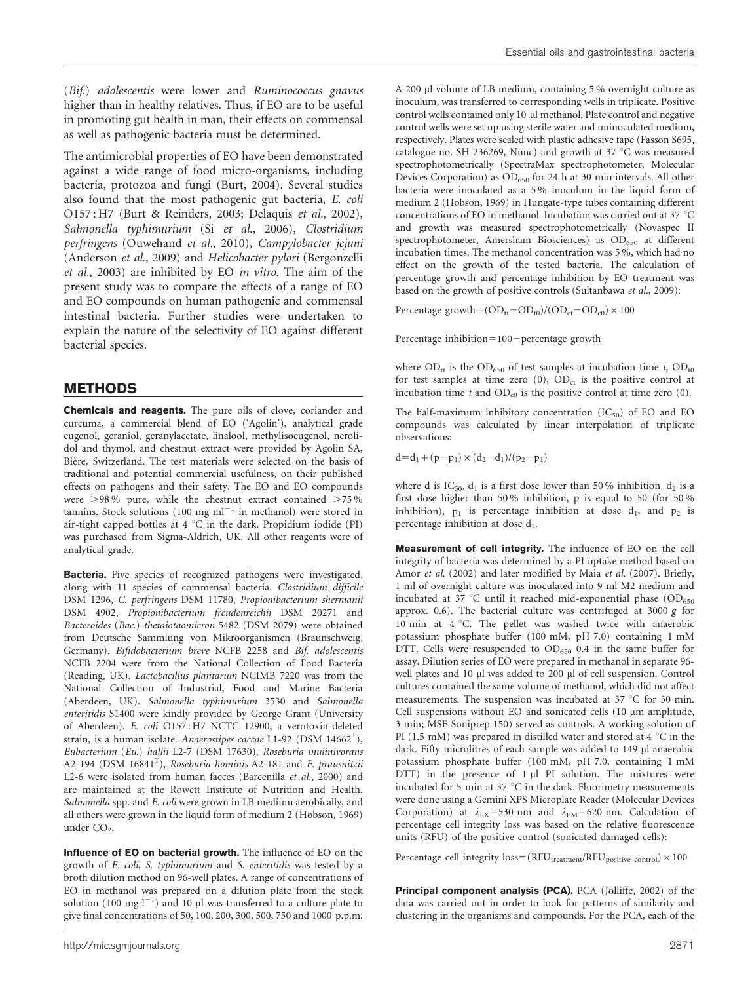(Bif.) adolescentis were lower and Ruminococcus gnavus higher than in healthy relatives. Thus, if EO are to be useful in promoting gut health in man, their effects on commensal as well as pathogenic bacteria must be determined.

The antimicrobial properties of EO have been demonstrated against a wide range of food micro-organisms, including bacteria, protozoa and fungi [\(Burt, 2004](#page-7-0)). Several studies also found that the most pathogenic gut bacteria, E. coli O157 : H7 [\(Burt & Reinders, 2003; Delaquis](#page-7-0) et al., 2002), Salmonella typhimurium (Si et al.[, 2006\)](#page-7-0), Clostridium perfringens ([Ouwehand](#page-7-0) et al., 2010), Campylobacter jejuni [\(Anderson](#page-6-0) et al., 2009) and Helicobacter pylori ([Bergonzelli](#page-7-0) et al.[, 2003](#page-7-0)) are inhibited by EO in vitro. The aim of the present study was to compare the effects of a range of EO and EO compounds on human pathogenic and commensal intestinal bacteria. Further studies were undertaken to explain the nature of the selectivity of EO against different bacterial species.

### METHODS

Chemicals and reagents. The pure oils of clove, coriander and curcuma, a commercial blend of EO ('Agolin'), analytical grade eugenol, geraniol, geranylacetate, linalool, methylisoeugenol, nerolidol and thymol, and chestnut extract were provided by Agolin SA, Bière, Switzerland. The test materials were selected on the basis of traditional and potential commercial usefulness, on their published effects on pathogens and their safety. The EO and EO compounds were  $>98\%$  pure, while the chestnut extract contained  $>75\%$ tannins. Stock solutions (100 mg  $ml^{-1}$  in methanol) were stored in air-tight capped bottles at  $4 °C$  in the dark. Propidium iodide (PI) was purchased from Sigma-Aldrich, UK. All other reagents were of analytical grade.

Bacteria. Five species of recognized pathogens were investigated, along with 11 species of commensal bacteria. Clostridium difficile DSM 1296, C. perfringens DSM 11780, Propionibacterium shermanii DSM 4902, Propionibacterium freudenreichii DSM 20271 and Bacteroides (Bac.) thetaiotaomicron 5482 (DSM 2079) were obtained from Deutsche Sammlung von Mikroorganismen (Braunschweig, Germany). Bifidobacterium breve NCFB 2258 and Bif. adolescentis NCFB 2204 were from the National Collection of Food Bacteria (Reading, UK). Lactobacillus plantarum NCIMB 7220 was from the National Collection of Industrial, Food and Marine Bacteria (Aberdeen, UK). Salmonella typhimurium 3530 and Salmonella enteritidis S1400 were kindly provided by George Grant (University of Aberdeen). E. coli O157 : H7 NCTC 12900, a verotoxin-deleted strain, is a human isolate. Anaerostipes caccae L1-92 (DSM 14662 $^{\mathrm{T}}$ ), Eubacterium (Eu.) hallii L2-7 (DSM 17630), Roseburia inulinivorans A2-194 (DSM 16841<sup>T</sup>), Roseburia hominis A2-181 and F. prausnitzii L2-6 were isolated from human faeces [\(Barcenilla](#page-6-0) et al., 2000) and are maintained at the Rowett Institute of Nutrition and Health. Salmonella spp. and E. coli were grown in LB medium aerobically, and all others were grown in the liquid form of medium 2 [\(Hobson, 1969\)](#page-7-0) under  $CO<sub>2</sub>$ .

Influence of EO on bacterial growth. The influence of EO on the growth of E. coli, S. typhimurium and S. enteritidis was tested by a broth dilution method on 96-well plates. A range of concentrations of EO in methanol was prepared on a dilution plate from the stock solution (100 mg  $l^{-1}$ ) and 10 µl was transferred to a culture plate to give final concentrations of 50, 100, 200, 300, 500, 750 and 1000 p.p.m.

A 200 ml volume of LB medium, containing 5 % overnight culture as inoculum, was transferred to corresponding wells in triplicate. Positive control wells contained only 10 µl methanol. Plate control and negative control wells were set up using sterile water and uninoculated medium, respectively. Plates were sealed with plastic adhesive tape (Fasson S695, catalogue no. SH 236269, Nunc) and growth at 37  $\degree$ C was measured spectrophotometrically (SpectraMax spectrophotometer, Molecular Devices Corporation) as OD<sub>650</sub> for 24 h at 30 min intervals. All other bacteria were inoculated as a 5 % inoculum in the liquid form of medium 2 [\(Hobson, 1969](#page-7-0)) in Hungate-type tubes containing different concentrations of EO in methanol. Incubation was carried out at 37  $^{\circ}$ C and growth was measured spectrophotometrically (Novaspec II spectrophotometer, Amersham Biosciences) as  $OD_{650}$  at different incubation times. The methanol concentration was 5 %, which had no effect on the growth of the tested bacteria. The calculation of percentage growth and percentage inhibition by EO treatment was based on the growth of positive controls ([Sultanbawa](#page-7-0) et al., 2009):

Percentage growth= $(OD_{tt}-OD_{t0})/(OD_{ct}-OD_{c0}) \times 100$ 

Percentage inhibition= $100$  - percentage growth

where  $OD_{tt}$  is the  $OD_{650}$  of test samples at incubation time t,  $OD_{t0}$ for test samples at time zero  $(0)$ ,  $OD<sub>ct</sub>$  is the positive control at incubation time t and  $OD_{c0}$  is the positive control at time zero (0).

The half-maximum inhibitory concentration  $(IC_{50})$  of EO and EO compounds was calculated by linear interpolation of triplicate observations:

 $d=d_1+(p-p_1)\times(d_2-d_1)/(p_2-p_1)$ 

where d is IC<sub>50</sub>,  $d_1$  is a first dose lower than 50% inhibition,  $d_2$  is a first dose higher than 50 % inhibition, p is equal to 50 (for 50 % inhibition),  $p_1$  is percentage inhibition at dose  $d_1$ , and  $p_2$  is percentage inhibition at dose d<sub>2</sub>.

Measurement of cell integrity. The influence of EO on the cell integrity of bacteria was determined by a PI uptake method based on Amor et al. [\(2002\)](#page-6-0) and later modified by Maia et al. [\(2007\).](#page-7-0) Briefly, 1 ml of overnight culture was inoculated into 9 ml M2 medium and incubated at 37 °C until it reached mid-exponential phase  $(OD_{650}$ approx. 0.6). The bacterial culture was centrifuged at 3000  $g$  for  $10$  min at  $4 °C$ . The pellet was washed twice with anaerobic potassium phosphate buffer (100 mM, pH 7.0) containing 1 mM DTT. Cells were resuspended to  $OD_{650}$  0.4 in the same buffer for assay. Dilution series of EO were prepared in methanol in separate 96 well plates and 10 µl was added to 200 µl of cell suspension. Control cultures contained the same volume of methanol, which did not affect measurements. The suspension was incubated at 37  $^{\circ}$ C for 30 min. Cell suspensions without EO and sonicated cells (10 µm amplitude, 3 min; MSE Soniprep 150) served as controls. A working solution of PI (1.5 mM) was prepared in distilled water and stored at 4  $^{\circ}$ C in the dark. Fifty microlitres of each sample was added to 149 µl anaerobic potassium phosphate buffer (100 mM, pH 7.0, containing 1 mM  $DTT$ ) in the presence of  $1 \mu l$  PI solution. The mixtures were incubated for 5 min at 37  $^{\circ}$ C in the dark. Fluorimetry measurements were done using a Gemini XPS Microplate Reader (Molecular Devices Corporation) at  $\lambda_{EX}$ =530 nm and  $\lambda_{EM}$ =620 nm. Calculation of percentage cell integrity loss was based on the relative fluorescence units (RFU) of the positive control (sonicated damaged cells):

Percentage cell integrity  $loss = (RFU_{treatment}/RFU_{positive\ control}) \times 100$ 

Principal component analysis (PCA). PCA ([Jolliffe, 2002\)](#page-7-0) of the data was carried out in order to look for patterns of similarity and clustering in the organisms and compounds. For the PCA, each of the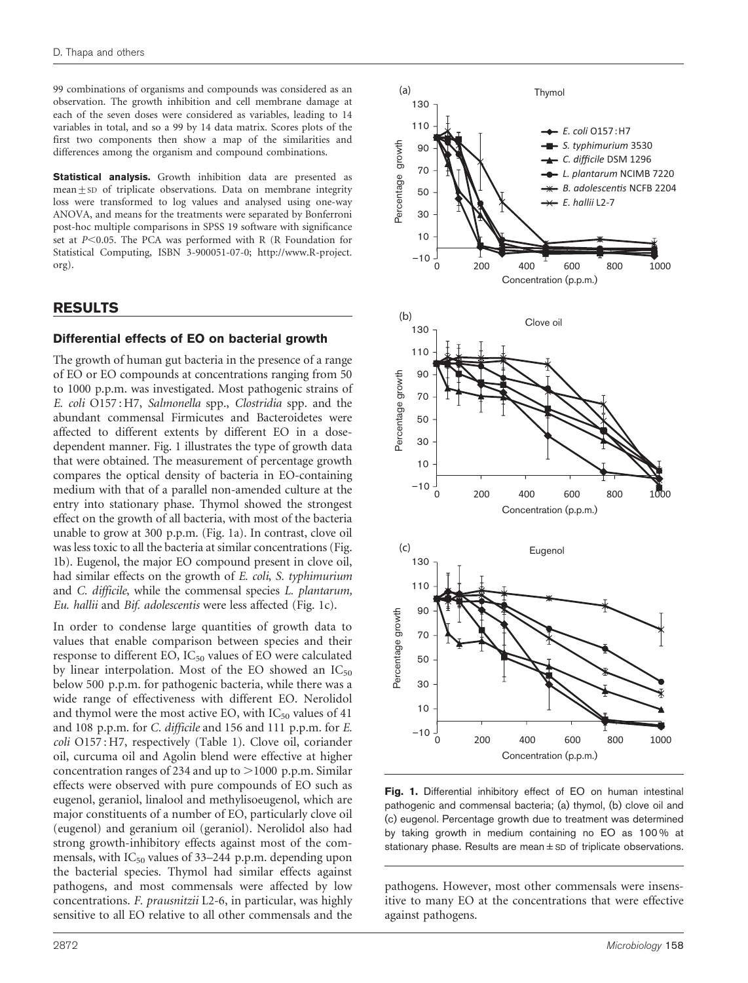99 combinations of organisms and compounds was considered as an observation. The growth inhibition and cell membrane damage at each of the seven doses were considered as variables, leading to 14 variables in total, and so a 99 by 14 data matrix. Scores plots of the first two components then show a map of the similarities and differences among the organism and compound combinations.

Statistical analysis. Growth inhibition data are presented as mean $\pm$ SD of triplicate observations. Data on membrane integrity loss were transformed to log values and analysed using one-way ANOVA, and means for the treatments were separated by Bonferroni post-hoc multiple comparisons in SPSS 19 software with significance set at  $P<0.05$ . The PCA was performed with R (R Foundation for Statistical Computing, ISBN 3-900051-07-0; http://www.R-project. org).

#### RESULTS

#### Differential effects of EO on bacterial growth

The growth of human gut bacteria in the presence of a range of EO or EO compounds at concentrations ranging from 50 to 1000 p.p.m. was investigated. Most pathogenic strains of E. coli O157 : H7, Salmonella spp., Clostridia spp. and the abundant commensal Firmicutes and Bacteroidetes were affected to different extents by different EO in a dosedependent manner. Fig. 1 illustrates the type of growth data that were obtained. The measurement of percentage growth compares the optical density of bacteria in EO-containing medium with that of a parallel non-amended culture at the entry into stationary phase. Thymol showed the strongest effect on the growth of all bacteria, with most of the bacteria unable to grow at 300 p.p.m. (Fig. 1a). In contrast, clove oil was less toxic to all the bacteria at similar concentrations (Fig. 1b). Eugenol, the major EO compound present in clove oil, had similar effects on the growth of E. coli, S. typhimurium and C. difficile, while the commensal species L. plantarum, Eu. hallii and Bif. adolescentis were less affected (Fig. 1c).

In order to condense large quantities of growth data to values that enable comparison between species and their response to different EO, IC<sub>50</sub> values of EO were calculated by linear interpolation. Most of the EO showed an  $IC_{50}$ below 500 p.p.m. for pathogenic bacteria, while there was a wide range of effectiveness with different EO. Nerolidol and thymol were the most active EO, with  $IC_{50}$  values of 41 and 108 p.p.m. for C. difficile and 156 and 111 p.p.m. for E. coli O157 : H7, respectively ([Table 1](#page-3-0)). Clove oil, coriander oil, curcuma oil and Agolin blend were effective at higher concentration ranges of 234 and up to  $>$  1000 p.p.m. Similar effects were observed with pure compounds of EO such as eugenol, geraniol, linalool and methylisoeugenol, which are major constituents of a number of EO, particularly clove oil (eugenol) and geranium oil (geraniol). Nerolidol also had strong growth-inhibitory effects against most of the commensals, with IC<sub>50</sub> values of 33-244 p.p.m. depending upon the bacterial species. Thymol had similar effects against pathogens, and most commensals were affected by low concentrations. F. prausnitzii L2-6, in particular, was highly sensitive to all EO relative to all other commensals and the



Fig. 1. Differential inhibitory effect of EO on human intestinal pathogenic and commensal bacteria; (a) thymol, (b) clove oil and (c) eugenol. Percentage growth due to treatment was determined by taking growth in medium containing no EO as 100 % at stationary phase. Results are mean $\pm$  SD of triplicate observations.

pathogens. However, most other commensals were insensitive to many EO at the concentrations that were effective against pathogens.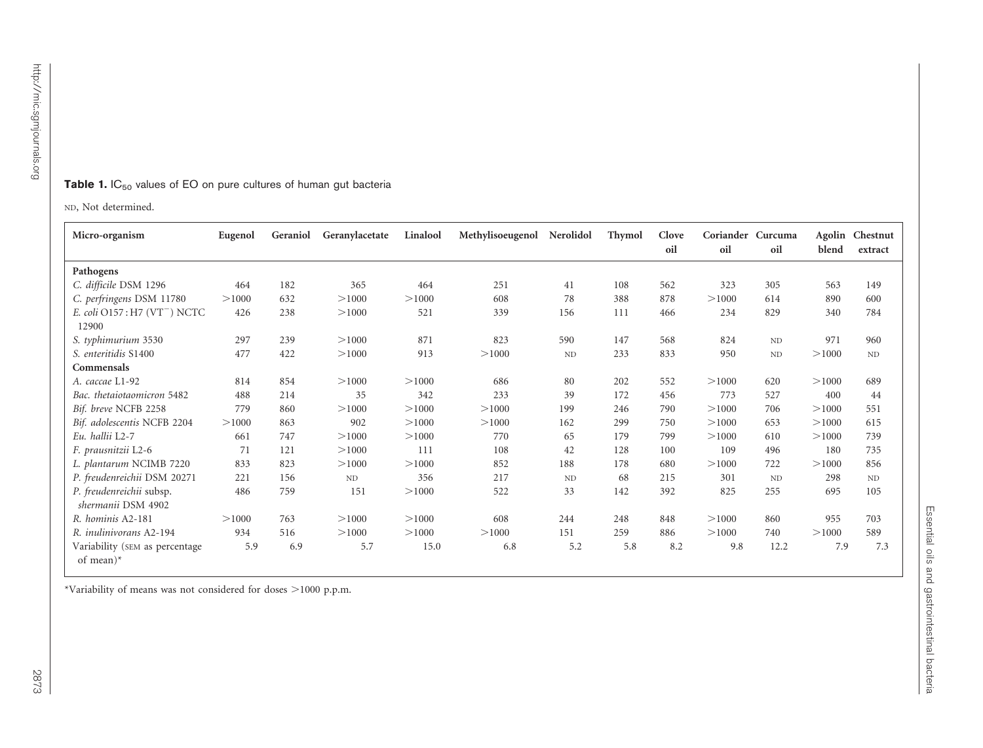#### <span id="page-3-0"></span>**Table 1.** IC<sub>50</sub> values of EO on pure cultures of human gut bacteria

ND, Not determined.

| Micro-organism                                    | Eugenol | Geraniol | Geranylacetate | Linalool | Methylisoeugenol | Nerolidol | <b>Thymol</b> | Clove | Coriander Curcuma |                 |       | Agolin Chestnut |
|---------------------------------------------------|---------|----------|----------------|----------|------------------|-----------|---------------|-------|-------------------|-----------------|-------|-----------------|
|                                                   |         |          |                |          |                  |           |               | oil   | oil               | oil             | blend | extract         |
| Pathogens                                         |         |          |                |          |                  |           |               |       |                   |                 |       |                 |
| C. difficile DSM 1296                             | 464     | 182      | 365            | 464      | 251              | 41        | 108           | 562   | 323               | 305             | 563   | 149             |
| C. perfringens DSM 11780                          | >1000   | 632      | >1000          | >1000    | 608              | 78        | 388           | 878   | >1000             | 614             | 890   | 600             |
| E. coli O157: H7 (VT <sup>-</sup> ) NCTC<br>12900 | 426     | 238      | >1000          | 521      | 339              | 156       | 111           | 466   | 234               | 829             | 340   | 784             |
| S. typhimurium 3530                               | 297     | 239      | >1000          | 871      | 823              | 590       | 147           | 568   | 824               | $\mbox{\sc ND}$ | 971   | 960             |
| S. enteritidis S1400                              | 477     | 422      | >1000          | 913      | >1000            | ND        | 233           | 833   | 950               | $\mbox{\sc ND}$ | >1000 | $\rm ND$        |
| Commensals                                        |         |          |                |          |                  |           |               |       |                   |                 |       |                 |
| A. caccae L1-92                                   | 814     | 854      | >1000          | >1000    | 686              | 80        | 202           | 552   | >1000             | 620             | >1000 | 689             |
| Bac. thetaiotaomicron 5482                        | 488     | 214      | 35             | 342      | 233              | 39        | 172           | 456   | 773               | 527             | 400   | 44              |
| Bif. breve NCFB 2258                              | 779     | 860      | >1000          | >1000    | >1000            | 199       | 246           | 790   | >1000             | 706             | >1000 | 551             |
| Bif. adolescentis NCFB 2204                       | >1000   | 863      | 902            | >1000    | >1000            | 162       | 299           | 750   | >1000             | 653             | >1000 | 615             |
| Eu, hallii L2-7                                   | 661     | 747      | >1000          | >1000    | 770              | 65        | 179           | 799   | >1000             | 610             | >1000 | 739             |
| F. prausnitzii L2-6                               | 71      | 121      | >1000          | 111      | 108              | 42        | 128           | 100   | 109               | 496             | 180   | 735             |
| L. plantarum NCIMB 7220                           | 833     | 823      | >1000          | >1000    | 852              | 188       | 178           | 680   | >1000             | 722             | >1000 | 856             |
| P. freudenreichii DSM 20271                       | 221     | 156      | ND             | 356      | 217              | ND        | 68            | 215   | 301               | ND              | 298   | ND              |
| P. freudenreichii subsp.<br>shermanii DSM 4902    | 486     | 759      | 151            | >1000    | 522              | 33        | 142           | 392   | 825               | 255             | 695   | 105             |
| R. hominis A2-181                                 | >1000   | 763      | >1000          | >1000    | 608              | 244       | 248           | 848   | >1000             | 860             | 955   | 703             |
| R. <i>inulinivorans</i> A2-194                    | 934     | 516      | >1000          | >1000    | >1000            | 151       | 259           | 886   | >1000             | 740             | >1000 | 589             |
| Variability (SEM as percentage<br>of mean) $*$    | 5.9     | 6.9      | 5.7            | 15.0     | 6.8              | 5.2       | 5.8           | 8.2   | 9.8               | 12.2            | 7.9   | 7.3             |

\*Variability of means was not considered for doses >1000 p.p.m.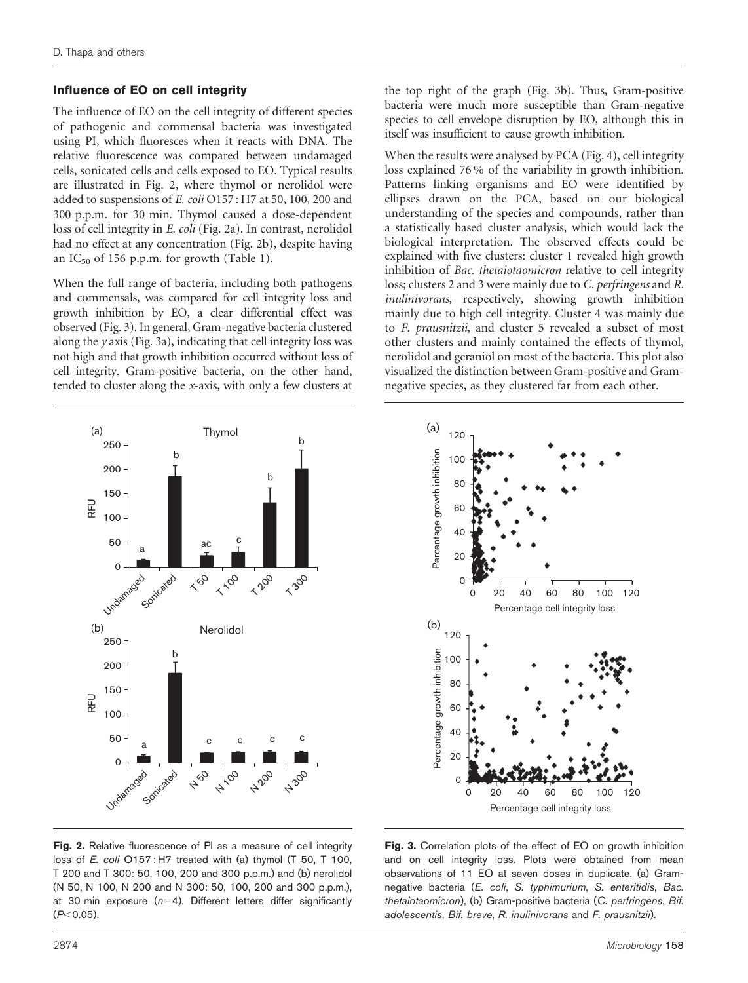#### <span id="page-4-0"></span>Influence of EO on cell integrity

The influence of EO on the cell integrity of different species of pathogenic and commensal bacteria was investigated using PI, which fluoresces when it reacts with DNA. The relative fluorescence was compared between undamaged cells, sonicated cells and cells exposed to EO. Typical results are illustrated in Fig. 2, where thymol or nerolidol were added to suspensions of E. coli O157 : H7 at 50, 100, 200 and 300 p.p.m. for 30 min. Thymol caused a dose-dependent loss of cell integrity in E. coli (Fig. 2a). In contrast, nerolidol had no effect at any concentration (Fig. 2b), despite having an  $IC_{50}$  of 156 p.p.m. for growth ([Table 1](#page-3-0)).

When the full range of bacteria, including both pathogens and commensals, was compared for cell integrity loss and growth inhibition by EO, a clear differential effect was observed (Fig. 3). In general, Gram-negative bacteria clustered along the  $y$  axis (Fig. 3a), indicating that cell integrity loss was not high and that growth inhibition occurred without loss of cell integrity. Gram-positive bacteria, on the other hand, tended to cluster along the x-axis, with only a few clusters at

the top right of the graph (Fig. 3b). Thus, Gram-positive bacteria were much more susceptible than Gram-negative species to cell envelope disruption by EO, although this in itself was insufficient to cause growth inhibition.

When the results were analysed by PCA [\(Fig. 4\)](#page-5-0), cell integrity loss explained 76 % of the variability in growth inhibition. Patterns linking organisms and EO were identified by ellipses drawn on the PCA, based on our biological understanding of the species and compounds, rather than a statistically based cluster analysis, which would lack the biological interpretation. The observed effects could be explained with five clusters: cluster 1 revealed high growth inhibition of Bac. thetaiotaomicron relative to cell integrity loss; clusters 2 and 3 were mainly due to C. perfringens and R. inulinivorans, respectively, showing growth inhibition mainly due to high cell integrity. Cluster 4 was mainly due to F. prausnitzii, and cluster 5 revealed a subset of most other clusters and mainly contained the effects of thymol, nerolidol and geraniol on most of the bacteria. This plot also visualized the distinction between Gram-positive and Gramnegative species, as they clustered far from each other.





Fig. 2. Relative fluorescence of PI as a measure of cell integrity loss of E. coli O157: H7 treated with (a) thymol (T 50, T 100, T 200 and T 300: 50, 100, 200 and 300 p.p.m.) and (b) nerolidol (N 50, N 100, N 200 and N 300: 50, 100, 200 and 300 p.p.m.), at 30 min exposure  $(n=4)$ . Different letters differ significantly  $(P<0.05)$ .

Fig. 3. Correlation plots of the effect of EO on growth inhibition and on cell integrity loss. Plots were obtained from mean observations of 11 EO at seven doses in duplicate. (a) Gramnegative bacteria (E. coli, S. typhimurium, S. enteritidis, Bac. thetaiotaomicron), (b) Gram-positive bacteria (C. perfringens, Bif. adolescentis, Bif. breve, R. inulinivorans and F. prausnitzii).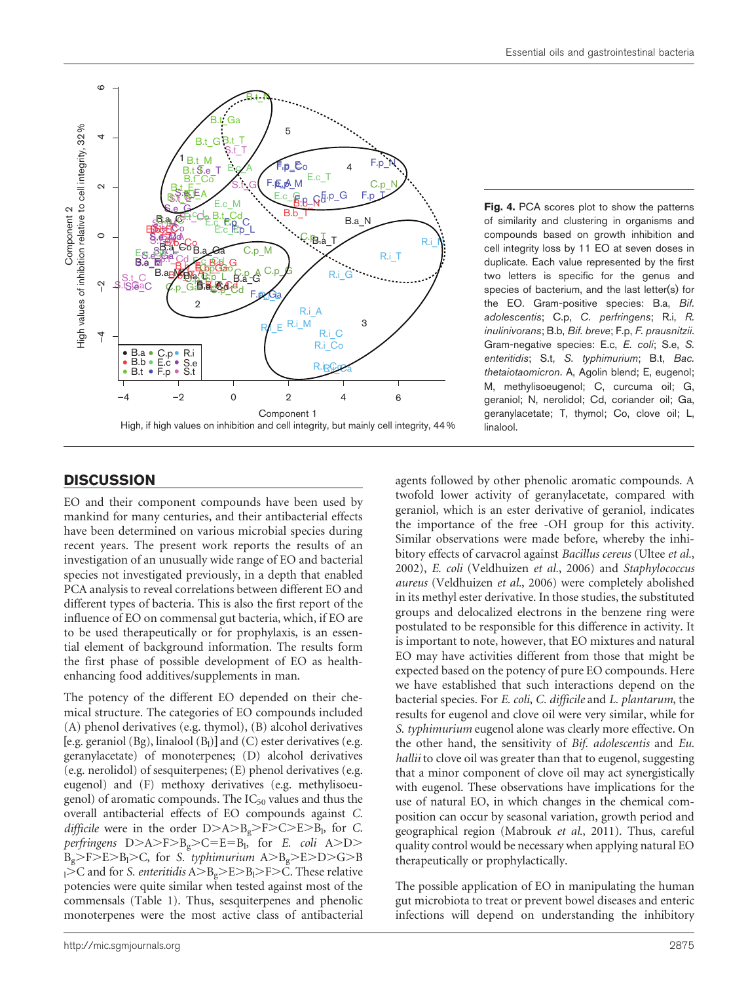<span id="page-5-0"></span>

## **DISCUSSION**

EO and their component compounds have been used by mankind for many centuries, and their antibacterial effects have been determined on various microbial species during recent years. The present work reports the results of an investigation of an unusually wide range of EO and bacterial species not investigated previously, in a depth that enabled PCA analysis to reveal correlations between different EO and different types of bacteria. This is also the first report of the influence of EO on commensal gut bacteria, which, if EO are to be used therapeutically or for prophylaxis, is an essential element of background information. The results form the first phase of possible development of EO as healthenhancing food additives/supplements in man.

The potency of the different EO depended on their chemical structure. The categories of EO compounds included (A) phenol derivatives (e.g. thymol), (B) alcohol derivatives [e.g. geraniol (Bg), linalool (B<sub>l</sub>)] and (C) ester derivatives (e.g. geranylacetate) of monoterpenes; (D) alcohol derivatives (e.g. nerolidol) of sesquiterpenes; (E) phenol derivatives (e.g. eugenol) and (F) methoxy derivatives (e.g. methylisoeugenol) of aromatic compounds. The  $IC_{50}$  values and thus the overall antibacterial effects of EO compounds against C. *difficile* were in the order  $D>A>B_g>F>C>E>B_l$ , for C.  $perfringens$  D>A>F>B<sub>g</sub>>C=E=B<sub>l</sub>, for *E. coli* A>D>  $B_g$ >F>E>B<sub>l</sub>>C, for *S. typhimurium* A>B<sub>g</sub>>E>D>G>B  $\rm _1$ >C and for *S. enteritidis* A>B<sub>g</sub>>E>B<sub>l</sub>>F>C. These relative potencies were quite similar when tested against most of the commensals [\(Table 1\)](#page-3-0). Thus, sesquiterpenes and phenolic monoterpenes were the most active class of antibacterial Fig. 4. PCA scores plot to show the patterns of similarity and clustering in organisms and compounds based on growth inhibition and cell integrity loss by 11 EO at seven doses in duplicate. Each value represented by the first two letters is specific for the genus and species of bacterium, and the last letter(s) for the EO. Gram-positive species: B.a, Bif. adolescentis; C.p, C. perfringens; R.i, R. inulinivorans; B.b, Bif. breve; F.p, F. prausnitzii. Gram-negative species: E.c, E. coli; S.e, S. enteritidis; S.t, S. typhimurium; B.t, Bac. thetaiotaomicron. A, Agolin blend; E, eugenol; M, methylisoeugenol; C, curcuma oil; G, geraniol; N, nerolidol; Cd, coriander oil; Ga, geranylacetate; T, thymol; Co, clove oil; L, linalool.

agents followed by other phenolic aromatic compounds. A twofold lower activity of geranylacetate, compared with geraniol, which is an ester derivative of geraniol, indicates the importance of the free -OH group for this activity. Similar observations were made before, whereby the inhibitory effects of carvacrol against Bacillus cereus ([Ultee](#page-7-0) et al., [2002\)](#page-7-0), E. coli ([Veldhuizen](#page-7-0) et al., 2006) and Staphylococcus aureus [\(Veldhuizen](#page-7-0) et al., 2006) were completely abolished in its methyl ester derivative. In those studies, the substituted groups and delocalized electrons in the benzene ring were postulated to be responsible for this difference in activity. It is important to note, however, that EO mixtures and natural EO may have activities different from those that might be expected based on the potency of pure EO compounds. Here we have established that such interactions depend on the bacterial species. For E. coli, C. difficile and L. plantarum, the results for eugenol and clove oil were very similar, while for S. typhimurium eugenol alone was clearly more effective. On the other hand, the sensitivity of Bif. adolescentis and Eu. hallii to clove oil was greater than that to eugenol, suggesting that a minor component of clove oil may act synergistically with eugenol. These observations have implications for the use of natural EO, in which changes in the chemical composition can occur by seasonal variation, growth period and geographical region [\(Mabrouk](#page-7-0) et al., 2011). Thus, careful quality control would be necessary when applying natural EO therapeutically or prophylactically.

The possible application of EO in manipulating the human gut microbiota to treat or prevent bowel diseases and enteric infections will depend on understanding the inhibitory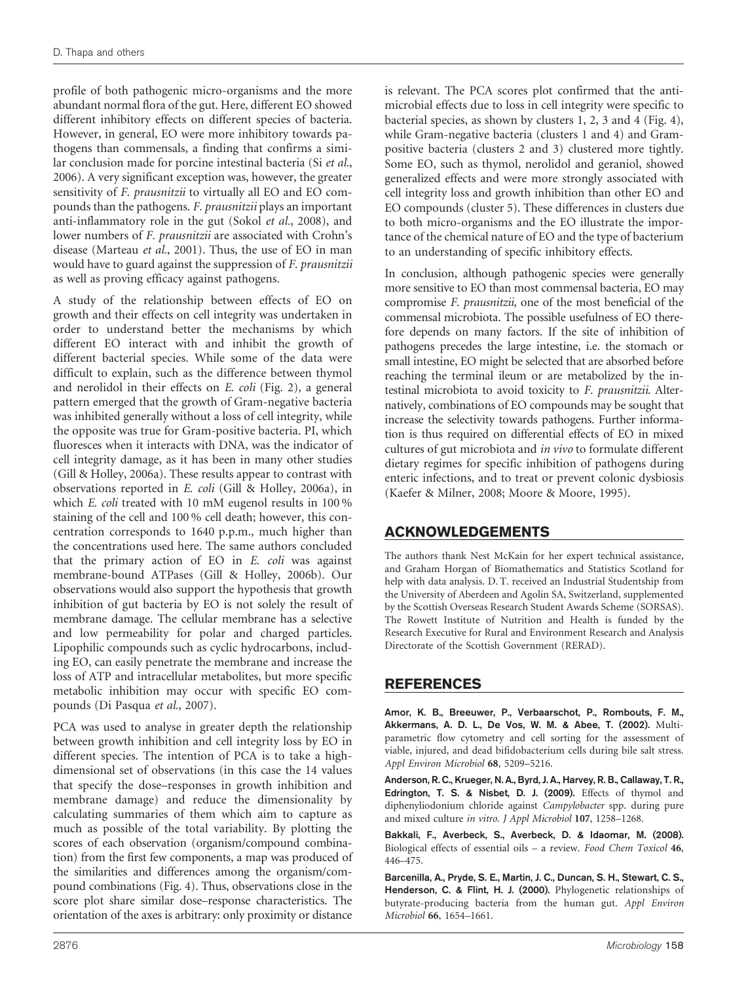<span id="page-6-0"></span>profile of both pathogenic micro-organisms and the more abundant normal flora of the gut. Here, different EO showed different inhibitory effects on different species of bacteria. However, in general, EO were more inhibitory towards pathogens than commensals, a finding that confirms a similar conclusion made for porcine intestinal bacteria (Si [et al.](#page-7-0), [2006](#page-7-0)). A very significant exception was, however, the greater sensitivity of *F. prausnitzii* to virtually all EO and EO compounds than the pathogens. F. prausnitzii plays an important anti-inflammatory role in the gut (Sokol et al.[, 2008\)](#page-7-0), and lower numbers of F. prausnitzii are associated with Crohn's disease ([Marteau](#page-7-0) et al., 2001). Thus, the use of EO in man would have to guard against the suppression of F. prausnitzii as well as proving efficacy against pathogens.

A study of the relationship between effects of EO on growth and their effects on cell integrity was undertaken in order to understand better the mechanisms by which different EO interact with and inhibit the growth of different bacterial species. While some of the data were difficult to explain, such as the difference between thymol and nerolidol in their effects on E. coli ([Fig. 2\)](#page-4-0), a general pattern emerged that the growth of Gram-negative bacteria was inhibited generally without a loss of cell integrity, while the opposite was true for Gram-positive bacteria. PI, which fluoresces when it interacts with DNA, was the indicator of cell integrity damage, as it has been in many other studies [\(Gill & Holley, 2006a](#page-7-0)). These results appear to contrast with observations reported in E. coli [\(Gill & Holley, 2006a\)](#page-7-0), in which E. coli treated with 10 mM eugenol results in 100 % staining of the cell and 100 % cell death; however, this concentration corresponds to 1640 p.p.m., much higher than the concentrations used here. The same authors concluded that the primary action of EO in E. coli was against membrane-bound ATPases ([Gill & Holley, 2006b\)](#page-7-0). Our observations would also support the hypothesis that growth inhibition of gut bacteria by EO is not solely the result of membrane damage. The cellular membrane has a selective and low permeability for polar and charged particles. Lipophilic compounds such as cyclic hydrocarbons, including EO, can easily penetrate the membrane and increase the loss of ATP and intracellular metabolites, but more specific metabolic inhibition may occur with specific EO compounds ([Di Pasqua](#page-7-0) et al., 2007).

PCA was used to analyse in greater depth the relationship between growth inhibition and cell integrity loss by EO in different species. The intention of PCA is to take a highdimensional set of observations (in this case the 14 values that specify the dose–responses in growth inhibition and membrane damage) and reduce the dimensionality by calculating summaries of them which aim to capture as much as possible of the total variability. By plotting the scores of each observation (organism/compound combination) from the first few components, a map was produced of the similarities and differences among the organism/compound combinations [\(Fig. 4\)](#page-5-0). Thus, observations close in the score plot share similar dose–response characteristics. The orientation of the axes is arbitrary: only proximity or distance

is relevant. The PCA scores plot confirmed that the antimicrobial effects due to loss in cell integrity were specific to bacterial species, as shown by clusters 1, 2, 3 and 4 [\(Fig. 4](#page-5-0)), while Gram-negative bacteria (clusters 1 and 4) and Grampositive bacteria (clusters 2 and 3) clustered more tightly. Some EO, such as thymol, nerolidol and geraniol, showed generalized effects and were more strongly associated with cell integrity loss and growth inhibition than other EO and EO compounds (cluster 5). These differences in clusters due to both micro-organisms and the EO illustrate the importance of the chemical nature of EO and the type of bacterium to an understanding of specific inhibitory effects.

In conclusion, although pathogenic species were generally more sensitive to EO than most commensal bacteria, EO may compromise F. prausnitzii, one of the most beneficial of the commensal microbiota. The possible usefulness of EO therefore depends on many factors. If the site of inhibition of pathogens precedes the large intestine, i.e. the stomach or small intestine, EO might be selected that are absorbed before reaching the terminal ileum or are metabolized by the intestinal microbiota to avoid toxicity to F. prausnitzii. Alternatively, combinations of EO compounds may be sought that increase the selectivity towards pathogens. Further information is thus required on differential effects of EO in mixed cultures of gut microbiota and in vivo to formulate different dietary regimes for specific inhibition of pathogens during enteric infections, and to treat or prevent colonic dysbiosis [\(Kaefer & Milner, 2008; Moore & Moore, 1995](#page-7-0)).

# ACKNOWLEDGEMENTS

The authors thank Nest McKain for her expert technical assistance, and Graham Horgan of Biomathematics and Statistics Scotland for help with data analysis. D. T. received an Industrial Studentship from the University of Aberdeen and Agolin SA, Switzerland, supplemented by the Scottish Overseas Research Student Awards Scheme (SORSAS). The Rowett Institute of Nutrition and Health is funded by the Research Executive for Rural and Environment Research and Analysis Directorate of the Scottish Government (RERAD).

# REFERENCES

[Amor, K. B., Breeuwer, P., Verbaarschot, P., Rombouts, F. M.,](http://dx.doi.org/10.1128%2FAEM.68.11.52092002) [Akkermans, A. D. L., De Vos, W. M. & Abee, T. \(2002\).](http://dx.doi.org/10.1128%2FAEM.68.11.52092002) [Multi](http://dx.doi.org/10.1128%2FAEM.68.11.52092002)[parametric flow cytometry and cell sorting for the assessment of](http://dx.doi.org/10.1128%2FAEM.68.11.52092002) [viable, injured, and dead bifidobacterium cells during bile salt stress.](http://dx.doi.org/10.1128%2FAEM.68.11.52092002) [Appl Environ Microbiol](http://dx.doi.org/10.1128%2FAEM.68.11.52092002) 68, 5209–5216.

[Anderson, R. C., Krueger, N. A., Byrd, J. A., Harvey, R. B., Callaway, T. R.,](http://dx.doi.org/10.1111%2Fj.13652009.04308.x) [Edrington, T. S. & Nisbet, D. J. \(2009\).](http://dx.doi.org/10.1111%2Fj.13652009.04308.x) [Effects of thymol and](http://dx.doi.org/10.1111%2Fj.13652009.04308.x) [diphenyliodonium chloride against](http://dx.doi.org/10.1111%2Fj.13652009.04308.x) Campylobacter spp. during pure [and mixed culture](http://dx.doi.org/10.1111%2Fj.13652009.04308.x) in vitro. J Appl Microbiol 107, 1258–1268.

[Bakkali, F., Averbeck, S., Averbeck, D. & Idaomar, M. \(2008\).](http://dx.doi.org/10.1016%2Fj.fct.2007.09.106) [Biological effects of essential oils – a review.](http://dx.doi.org/10.1016%2Fj.fct.2007.09.106) Food Chem Toxicol 46, [446–475.](http://dx.doi.org/10.1016%2Fj.fct.2007.09.106)

[Barcenilla, A., Pryde, S. E., Martin, J. C., Duncan, S. H., Stewart, C. S.,](http://dx.doi.org/10.1128%2FAEM.66.4.16542000) [Henderson, C. & Flint, H. J. \(2000\).](http://dx.doi.org/10.1128%2FAEM.66.4.16542000) [Phylogenetic relationships of](http://dx.doi.org/10.1128%2FAEM.66.4.16542000) [butyrate-producing bacteria from the human gut.](http://dx.doi.org/10.1128%2FAEM.66.4.16542000) Appl Environ Microbiol 66[, 1654–1661.](http://dx.doi.org/10.1128%2FAEM.66.4.16542000)